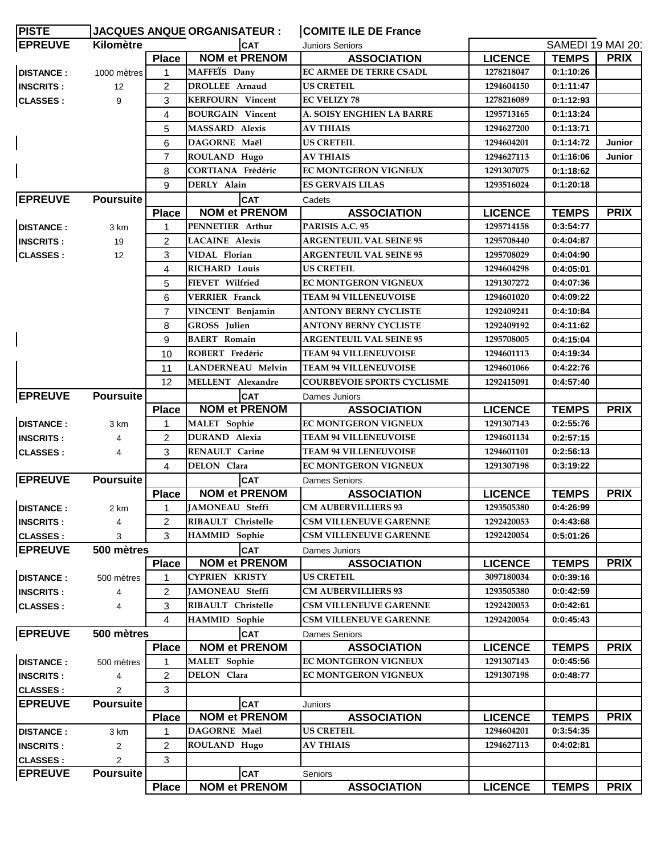| <b>PISTE</b>     |                  |                | <b>JACQUES ANQUE ORGANISATEUR :</b> | <b>COMITE ILE DE France</b>                |                |                   |             |
|------------------|------------------|----------------|-------------------------------------|--------------------------------------------|----------------|-------------------|-------------|
| <b>EPREUVE</b>   | Kilomètre        |                | <b>CAT</b>                          | Juniors Seniors                            |                | SAMEDI 19 MAI 201 |             |
|                  |                  | <b>Place</b>   | <b>NOM et PRENOM</b>                | <b>ASSOCIATION</b>                         | <b>LICENCE</b> | <b>TEMPS</b>      | <b>PRIX</b> |
| <b>DISTANCE:</b> | 1000 mètres      | $\mathbf{1}$   | MAFFEÏS Dany                        | <b>EC ARMEE DE TERRE CSADL</b>             | 1278218047     | 0:1:10:26         |             |
| <b>INSCRITS:</b> | 12               | $\overline{2}$ | <b>DROLLEE</b> Arnaud               | US CRETEIL                                 | 1294604150     | 0:1:11:47         |             |
| <b>CLASSES:</b>  | 9                | 3              | <b>KERFOURN</b> Vincent             | <b>EC VELIZY 78</b>                        | 1278216089     | 0:1:12:93         |             |
|                  |                  | 4              | <b>BOURGAIN Vincent</b>             | A. SOISY ENGHIEN LA BARRE                  | 1295713165     | 0:1:13:24         |             |
|                  |                  | 5              | <b>MASSARD</b> Alexis               | <b>AV THIAIS</b>                           | 1294627200     | 0:1:13:71         |             |
|                  |                  | 6              | DAGORNE Maël                        | <b>US CRETEIL</b>                          | 1294604201     | 0:1:14:72         | Junior      |
|                  |                  | 7              | ROULAND Hugo                        | AV THIAIS                                  | 1294627113     | 0:1:16:06         | Junior      |
|                  |                  | 8              | <b>CORTIANA Frédéric</b>            | <b>EC MONTGERON VIGNEUX</b>                | 1291307075     | 0:1:18:62         |             |
|                  |                  | 9              | DERLY Alain                         | <b>ES GERVAIS LILAS</b>                    | 1293516024     | 0:1:20:18         |             |
| <b>EPREUVE</b>   | <b>Poursuite</b> |                | <b>CAT</b>                          | Cadets                                     |                |                   |             |
|                  |                  | <b>Place</b>   | <b>NOM et PRENOM</b>                | <b>ASSOCIATION</b>                         | <b>LICENCE</b> | <b>TEMPS</b>      | <b>PRIX</b> |
| <b>DISTANCE:</b> | 3 km             | 1              | PENNETIER Arthur                    | PARISIS A.C. 95                            | 1295714158     | 0:3:54:77         |             |
| <b>INSCRITS:</b> | 19               | $\overline{2}$ | <b>LACAINE</b> Alexis               | <b>ARGENTEUIL VAL SEINE 95</b>             | 1295708440     | 0:4:04:87         |             |
| <b>CLASSES:</b>  | 12               | 3              | VIDAL Florian                       | <b>ARGENTEUIL VAL SEINE 95</b>             | 1295708029     | 0:4:04:90         |             |
|                  |                  | 4              | RICHARD Louis                       | <b>US CRETEIL</b>                          | 1294604298     | 0:4:05:01         |             |
|                  |                  | 5              | FIEVET Wilfried                     | EC MONTGERON VIGNEUX                       | 1291307272     | 0:4:07:36         |             |
|                  |                  | 6              | <b>VERRIER Franck</b>               | <b>TEAM 94 VILLENEUVOISE</b>               | 1294601020     | 0:4:09:22         |             |
|                  |                  | $\overline{7}$ | VINCENT Benjamin                    | <b>ANTONY BERNY CYCLISTE</b>               | 1292409241     | 0:4:10:84         |             |
|                  |                  | 8              | GROSS Julien                        | <b>ANTONY BERNY CYCLISTE</b>               | 1292409192     | 0:4:11:62         |             |
|                  |                  | 9              | <b>BAERT</b> Romain                 | <b>ARGENTEUIL VAL SEINE 95</b>             | 1295708005     | 0:4:15:04         |             |
|                  |                  | 10             | ROBERT Frédéric                     | <b>TEAM 94 VILLENEUVOISE</b>               | 1294601113     | 0:4:19:34         |             |
|                  |                  | 11             | <b>LANDERNEAU Melvin</b>            | <b>TEAM 94 VILLENEUVOISE</b>               | 1294601066     | 0:4:22:76         |             |
|                  |                  | 12             | <b>MELLENT</b> Alexandre            | <b>COURBEVOIE SPORTS CYCLISME</b>          | 1292415091     | 0:4:57:40         |             |
| <b>EPREUVE</b>   | <b>Poursuite</b> |                | <b>CAT</b>                          | Dames Juniors                              |                |                   |             |
|                  |                  | <b>Place</b>   | <b>NOM et PRENOM</b>                | <b>ASSOCIATION</b>                         | <b>LICENCE</b> | <b>TEMPS</b>      | <b>PRIX</b> |
| <b>DISTANCE:</b> | 3 km             | 1              | <b>MALET</b> Sophie                 | <b>EC MONTGERON VIGNEUX</b>                | 1291307143     | 0:2:55:76         |             |
| <b>INSCRITS:</b> | 4                | $\overline{2}$ | <b>DURAND</b> Alexia                | <b>TEAM 94 VILLENEUVOISE</b>               | 1294601134     | 0:2:57:15         |             |
| <b>CLASSES:</b>  | 4                | 3              | RENAULT Carine                      | <b>TEAM 94 VILLENEUVOISE</b>               | 1294601101     | 0:2:56:13         |             |
|                  |                  | 4              | DELON Clara                         | EC MONTGERON VIGNEUX                       | 1291307198     | 0:3:19:22         |             |
| <b>EPREUVE</b>   | <b>Poursuite</b> |                | <b>CAT</b>                          |                                            |                |                   |             |
|                  |                  | <b>Place</b>   | <b>NOM et PRENOM</b>                | <b>Dames Seniors</b><br><b>ASSOCIATION</b> | <b>LICENCE</b> | <b>TEMPS</b>      | <b>PRIX</b> |
| <b>DISTANCE:</b> | 2 km             | $1 \quad$      | JAMONEAU Steffi                     | <b>CM AUBERVILLIERS 93</b>                 | 1293505380     | 0:4:26:99         |             |
|                  |                  |                | RIBAULT Christelle                  | <b>CSM VILLENEUVE GARENNE</b>              | 1292420053     | 0:4:43:68         |             |
| <b>INSCRITS:</b> | 4                | 2              | <b>HAMMID</b> Sophie                | <b>CSM VILLENEUVE GARENNE</b>              | 1292420054     | 0:5:01:26         |             |
| <b>CLASSES:</b>  | 3                | 3              |                                     |                                            |                |                   |             |
| <b>EPREUVE</b>   | 500 mètres       |                | <b>CAT</b>                          | Dames Juniors                              |                |                   |             |
|                  |                  | <b>Place</b>   | <b>NOM et PRENOM</b>                | <b>ASSOCIATION</b>                         | <b>LICENCE</b> | <b>TEMPS</b>      | <b>PRIX</b> |
| <b>DISTANCE:</b> | 500 mètres       |                | <b>CYPRIEN KRISTY</b>               | US CRETEIL                                 | 3097180034     | 0:0:39:16         |             |
| <b>INSCRITS:</b> | 4                | 2              | <b>JAMONEAU Steffi</b>              | <b>CM AUBERVILLIERS 93</b>                 | 1293505380     | 0:0:42:59         |             |
| <b>CLASSES:</b>  | 4                | 3              | RIBAULT Christelle                  | <b>CSM VILLENEUVE GARENNE</b>              | 1292420053     | 0:0:42:61         |             |
|                  |                  | 4              | <b>HAMMID</b> Sophie                | <b>CSM VILLENEUVE GARENNE</b>              | 1292420054     | 0:0:45:43         |             |
| <b>EPREUVE</b>   | 500 mètres       |                | <b>CAT</b>                          | <b>Dames Seniors</b>                       |                |                   |             |
|                  |                  | <b>Place</b>   | <b>NOM et PRENOM</b>                | <b>ASSOCIATION</b>                         | <b>LICENCE</b> | <b>TEMPS</b>      | <b>PRIX</b> |
| <b>DISTANCE:</b> | 500 mètres       | 1              | <b>MALET</b> Sophie                 | <b>EC MONTGERON VIGNEUX</b>                | 1291307143     | 0:0:45:56         |             |
| <b>INSCRITS:</b> | 4                | 2              | DELON Clara                         | EC MONTGERON VIGNEUX                       | 1291307198     | 0:0:48:77         |             |
| <b>CLASSES:</b>  | $\overline{2}$   | 3              |                                     |                                            |                |                   |             |
| <b>EPREUVE</b>   | <b>Poursuite</b> |                | <b>CAT</b>                          | Juniors                                    |                |                   |             |
|                  |                  | <b>Place</b>   | <b>NOM et PRENOM</b>                | <b>ASSOCIATION</b>                         | <b>LICENCE</b> | <b>TEMPS</b>      | <b>PRIX</b> |
| <b>DISTANCE:</b> | 3 km             | 1              | DAGORNE Maël                        | <b>US CRETEIL</b>                          | 1294604201     | 0:3:54:35         |             |
| <b>INSCRITS:</b> | $\overline{2}$   | 2              | ROULAND Hugo                        | <b>AV THIAIS</b>                           | 1294627113     | 0:4:02:81         |             |
| <b>CLASSES:</b>  | 2                | 3              |                                     |                                            |                |                   |             |
| <b>EPREUVE</b>   | <b>Poursuite</b> |                | <b>CAT</b>                          | Seniors                                    |                |                   |             |
|                  |                  | <b>Place</b>   | <b>NOM et PRENOM</b>                | <b>ASSOCIATION</b>                         | <b>LICENCE</b> | <b>TEMPS</b>      | <b>PRIX</b> |